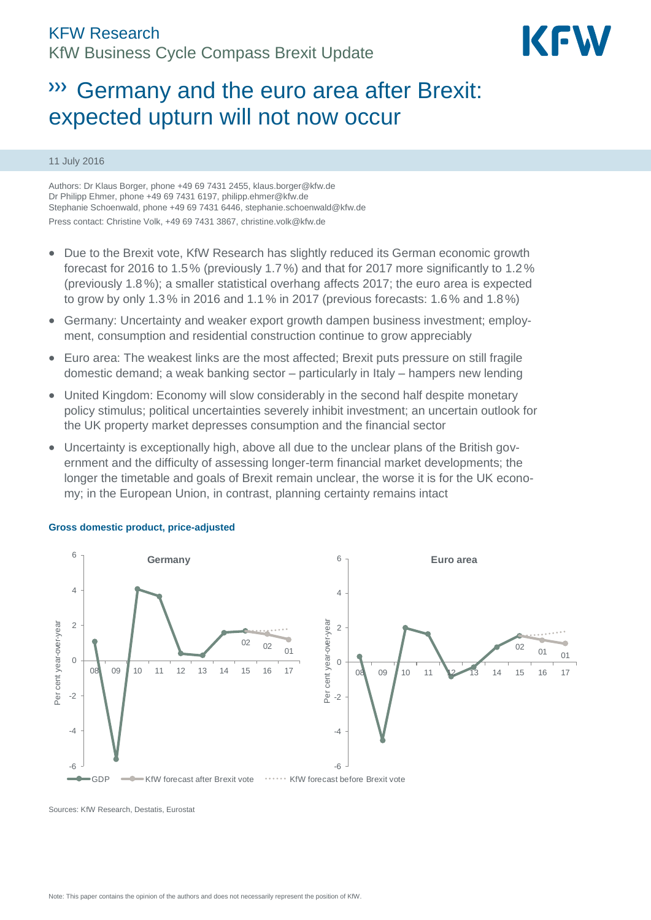

# Germany and the euro area after Brexit: expected upturn will not now occur

# 11 July 2016

Authors: Dr Klaus Borger, phone +49 69 7431 2455[, klaus.borger@kfw.de](mailto:klaus.borger@kfw.de) Dr Philipp Ehmer, phone +49 69 7431 6197, philipp.ehmer@kfw.de Stephanie Schoenwald, phone +49 69 7431 6446, stephanie.schoenwald@kfw.de Press contact: Christine Volk, +49 69 7431 3867[, christine.volk@kfw.de](mailto:christine.volk@kfw.de)

- Due to the Brexit vote, KfW Research has slightly reduced its German economic growth forecast for 2016 to 1.5% (previously 1.7%) and that for 2017 more significantly to 1.2% (previously 1.8%); a smaller statistical overhang affects 2017; the euro area is expected to grow by only 1.3 % in 2016 and 1.1% in 2017 (previous forecasts: 1.6% and 1.8%)
- Germany: Uncertainty and weaker export growth dampen business investment; employment, consumption and residential construction continue to grow appreciably
- Euro area: The weakest links are the most affected; Brexit puts pressure on still fragile domestic demand; a weak banking sector – particularly in Italy – hampers new lending
- United Kingdom: Economy will slow considerably in the second half despite monetary policy stimulus; political uncertainties severely inhibit investment; an uncertain outlook for the UK property market depresses consumption and the financial sector
- Uncertainty is exceptionally high, above all due to the unclear plans of the British government and the difficulty of assessing longer-term financial market developments; the longer the timetable and goals of Brexit remain unclear, the worse it is for the UK economy; in the European Union, in contrast, planning certainty remains intact



#### **Gross domestic product, price-adjusted**

Sources: KfW Research, Destatis, Eurostat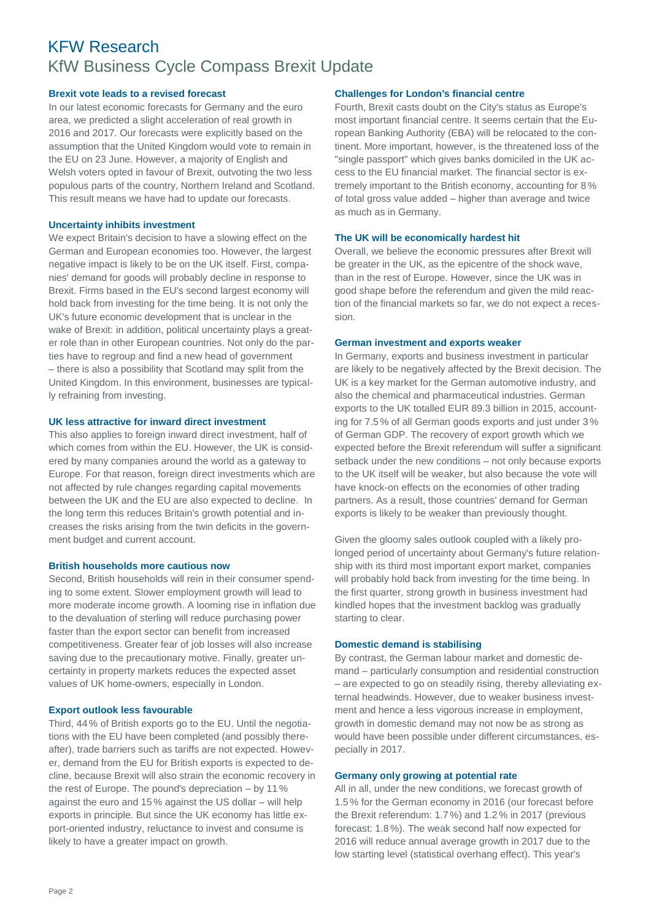# KFW Research KfW Business Cycle Compass Brexit Update

# **Brexit vote leads to a revised forecast**

In our latest economic forecasts for Germany and the euro area, we predicted a slight acceleration of real growth in 2016 and 2017. Our forecasts were explicitly based on the assumption that the United Kingdom would vote to remain in the EU on 23 June. However, a majority of English and Welsh voters opted in favour of Brexit, outvoting the two less populous parts of the country, Northern Ireland and Scotland. This result means we have had to update our forecasts.

#### **Uncertainty inhibits investment**

We expect Britain's decision to have a slowing effect on the German and European economies too. However, the largest negative impact is likely to be on the UK itself. First, companies' demand for goods will probably decline in response to Brexit. Firms based in the EU's second largest economy will hold back from investing for the time being. It is not only the UK's future economic development that is unclear in the wake of Brexit: in addition, political uncertainty plays a greater role than in other European countries. Not only do the parties have to regroup and find a new head of government – there is also a possibility that Scotland may split from the United Kingdom. In this environment, businesses are typically refraining from investing.

# **UK less attractive for inward direct investment**

This also applies to foreign inward direct investment, half of which comes from within the EU. However, the UK is considered by many companies around the world as a gateway to Europe. For that reason, foreign direct investments which are not affected by rule changes regarding capital movements between the UK and the EU are also expected to decline. In the long term this reduces Britain's growth potential and increases the risks arising from the twin deficits in the government budget and current account.

#### **British households more cautious now**

Second, British households will rein in their consumer spending to some extent. Slower employment growth will lead to more moderate income growth. A looming rise in inflation due to the devaluation of sterling will reduce purchasing power faster than the export sector can benefit from increased competitiveness. Greater fear of job losses will also increase saving due to the precautionary motive. Finally, greater uncertainty in property markets reduces the expected asset values of UK home-owners, especially in London.

# **Export outlook less favourable**

Third, 44% of British exports go to the EU. Until the negotiations with the EU have been completed (and possibly thereafter), trade barriers such as tariffs are not expected. However, demand from the EU for British exports is expected to decline, because Brexit will also strain the economic recovery in the rest of Europe. The pound's depreciation – by 11% against the euro and 15 % against the US dollar – will help exports in principle. But since the UK economy has little export-oriented industry, reluctance to invest and consume is likely to have a greater impact on growth.

# **Challenges for London's financial centre**

Fourth, Brexit casts doubt on the City's status as Europe's most important financial centre. It seems certain that the European Banking Authority (EBA) will be relocated to the continent. More important, however, is the threatened loss of the "single passport" which gives banks domiciled in the UK access to the EU financial market. The financial sector is extremely important to the British economy, accounting for 8 % of total gross value added – higher than average and twice as much as in Germany.

# **The UK will be economically hardest hit**

Overall, we believe the economic pressures after Brexit will be greater in the UK, as the epicentre of the shock wave, than in the rest of Europe. However, since the UK was in good shape before the referendum and given the mild reaction of the financial markets so far, we do not expect a recession.

#### **German investment and exports weaker**

In Germany, exports and business investment in particular are likely to be negatively affected by the Brexit decision. The UK is a key market for the German automotive industry, and also the chemical and pharmaceutical industries. German exports to the UK totalled EUR 89.3 billion in 2015, accounting for 7.5% of all German goods exports and just under 3% of German GDP. The recovery of export growth which we expected before the Brexit referendum will suffer a significant setback under the new conditions – not only because exports to the UK itself will be weaker, but also because the vote will have knock-on effects on the economies of other trading partners. As a result, those countries' demand for German exports is likely to be weaker than previously thought.

Given the gloomy sales outlook coupled with a likely prolonged period of uncertainty about Germany's future relationship with its third most important export market, companies will probably hold back from investing for the time being. In the first quarter, strong growth in business investment had kindled hopes that the investment backlog was gradually starting to clear.

#### **Domestic demand is stabilising**

By contrast, the German labour market and domestic demand – particularly consumption and residential construction – are expected to go on steadily rising, thereby alleviating external headwinds. However, due to weaker business investment and hence a less vigorous increase in employment, growth in domestic demand may not now be as strong as would have been possible under different circumstances, especially in 2017.

#### **Germany only growing at potential rate**

All in all, under the new conditions, we forecast growth of 1.5% for the German economy in 2016 (our forecast before the Brexit referendum: 1.7 %) and 1.2% in 2017 (previous forecast: 1.8%). The weak second half now expected for 2016 will reduce annual average growth in 2017 due to the low starting level (statistical overhang effect). This year's